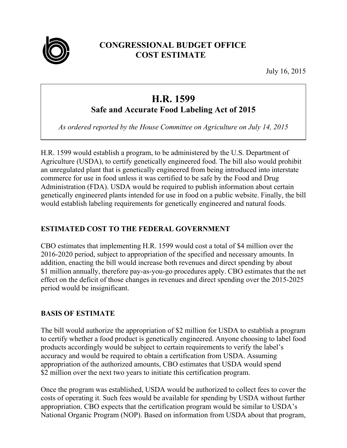

# **CONGRESSIONAL BUDGET OFFICE COST ESTIMATE**

July 16, 2015

# **H.R. 1599**

**Safe and Accurate Food Labeling Act of 2015** 

*As ordered reported by the House Committee on Agriculture on July 14, 2015* 

H.R. 1599 would establish a program, to be administered by the U.S. Department of Agriculture (USDA), to certify genetically engineered food. The bill also would prohibit an unregulated plant that is genetically engineered from being introduced into interstate commerce for use in food unless it was certified to be safe by the Food and Drug Administration (FDA). USDA would be required to publish information about certain genetically engineered plants intended for use in food on a public website. Finally, the bill would establish labeling requirements for genetically engineered and natural foods.

## **ESTIMATED COST TO THE FEDERAL GOVERNMENT**

CBO estimates that implementing H.R. 1599 would cost a total of \$4 million over the 2016-2020 period, subject to appropriation of the specified and necessary amounts. In addition, enacting the bill would increase both revenues and direct spending by about \$1 million annually, therefore pay-as-you-go procedures apply. CBO estimates that the net effect on the deficit of those changes in revenues and direct spending over the 2015-2025 period would be insignificant.

## **BASIS OF ESTIMATE**

The bill would authorize the appropriation of \$2 million for USDA to establish a program to certify whether a food product is genetically engineered. Anyone choosing to label food products accordingly would be subject to certain requirements to verify the label's accuracy and would be required to obtain a certification from USDA. Assuming appropriation of the authorized amounts, CBO estimates that USDA would spend \$2 million over the next two years to initiate this certification program.

Once the program was established, USDA would be authorized to collect fees to cover the costs of operating it. Such fees would be available for spending by USDA without further appropriation. CBO expects that the certification program would be similar to USDA's National Organic Program (NOP). Based on information from USDA about that program,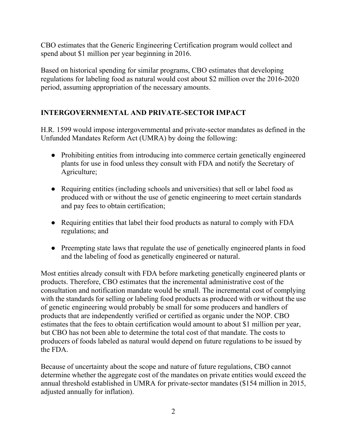CBO estimates that the Generic Engineering Certification program would collect and spend about \$1 million per year beginning in 2016.

Based on historical spending for similar programs, CBO estimates that developing regulations for labeling food as natural would cost about \$2 million over the 2016-2020 period, assuming appropriation of the necessary amounts.

## **INTERGOVERNMENTAL AND PRIVATE-SECTOR IMPACT**

H.R. 1599 would impose intergovernmental and private-sector mandates as defined in the Unfunded Mandates Reform Act (UMRA) by doing the following:

- Prohibiting entities from introducing into commerce certain genetically engineered plants for use in food unless they consult with FDA and notify the Secretary of Agriculture;
- Requiring entities (including schools and universities) that sell or label food as produced with or without the use of genetic engineering to meet certain standards and pay fees to obtain certification;
- Requiring entities that label their food products as natural to comply with FDA regulations; and
- Preempting state laws that regulate the use of genetically engineered plants in food and the labeling of food as genetically engineered or natural.

Most entities already consult with FDA before marketing genetically engineered plants or products. Therefore, CBO estimates that the incremental administrative cost of the consultation and notification mandate would be small. The incremental cost of complying with the standards for selling or labeling food products as produced with or without the use of genetic engineering would probably be small for some producers and handlers of products that are independently verified or certified as organic under the NOP. CBO estimates that the fees to obtain certification would amount to about \$1 million per year, but CBO has not been able to determine the total cost of that mandate. The costs to producers of foods labeled as natural would depend on future regulations to be issued by the FDA.

Because of uncertainty about the scope and nature of future regulations, CBO cannot determine whether the aggregate cost of the mandates on private entities would exceed the annual threshold established in UMRA for private-sector mandates (\$154 million in 2015, adjusted annually for inflation).